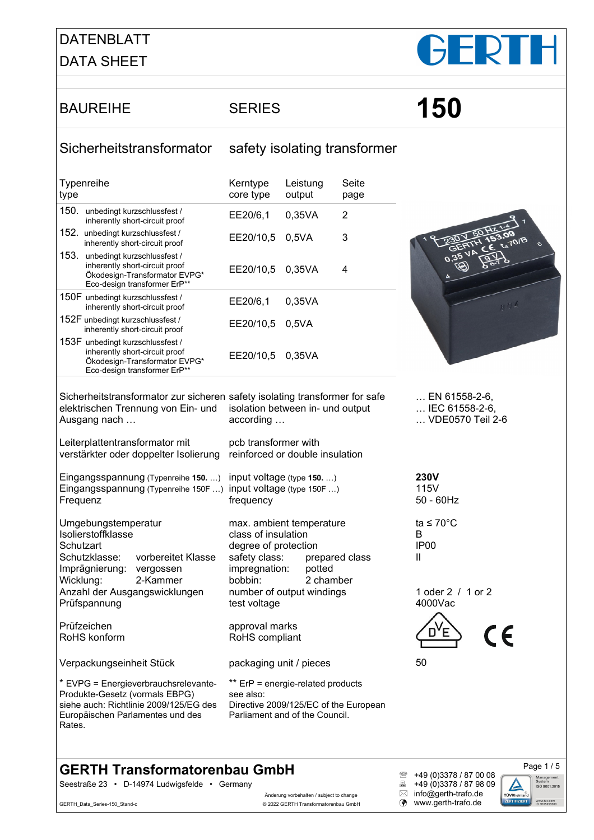#### DATENBLATT DATA SHEET



# BAUREIHE SERIES **150**

#### Sicherheitstransformator safety isolating transformer

| Typenreihe<br>type |                                                                                                                                     | Kerntype<br>core type | Leistung<br>output | Seite<br>page |
|--------------------|-------------------------------------------------------------------------------------------------------------------------------------|-----------------------|--------------------|---------------|
| 150.               | unbedingt kurzschlussfest /<br>inherently short-circuit proof                                                                       | EE20/6,1              | 0.35VA             | 2             |
| 152.               | unbedingt kurzschlussfest /<br>inherently short-circuit proof                                                                       | EE20/10,5             | 0.5VA              | 3             |
| 153.               | unbedingt kurzschlussfest /<br>inherently short-circuit proof<br>Ökodesign-Transformator EVPG*<br>Eco-design transformer ErP**      | EE20/10,5             | 0.35VA             | 4             |
|                    | 150F unbedingt kurzschlussfest /<br>inherently short-circuit proof                                                                  | EE20/6,1              | 0,35VA             |               |
|                    | 152F unbedingt kurzschlussfest /<br>inherently short-circuit proof                                                                  | EE20/10,5             | 0.5VA              |               |
|                    | 153F unbedingt kurzschlussfest /<br>inherently short-circuit proof<br>Ökodesign-Transformator EVPG*<br>Eco-design transformer ErP** | EE20/10.5             | 0.35VA             |               |



Sicherheitstransformator zur sicheren safety isolating transformer for safe elektrischen Trennung von Ein- und Ausgang nach …

Leiterplattentransformator mit verstärkter oder doppelter Isolierung reinforced or double insulation

Eingangsspannung (Typenreihe **150.** …) input voltage (type **150.** …) Eingangsspannung (Typenreihe 150F …) input voltage (type 150F …) **Frequenz** 

Umgebungstemperatur Isolierstoffklasse **Schutzart** Schutzklasse: vorbereitet Klasse Imprägnierung: vergossen Wicklung: 2-Kammer Anzahl der Ausgangswicklungen Prüfspannung

Prüfzeichen RoHS konform

Verpackungseinheit Stück

\* EVPG = Energieverbrauchsrelevante-Produkte-Gesetz (vormals EBPG) siehe auch: Richtlinie 2009/125/EG des Europäischen Parlamentes und des Rates.

isolation between in- und output according …

pcb transformer with

frequency

max. ambient temperature class of insulation degree of protection safety class: prepared class<br>impregnation: potted impregnation: bobbin: 2 chamber number of output windings test voltage

approval marks RoHS compliant

packaging unit / pieces

\*\* ErP = energie-related products see also: Directive 2009/125/EC of the European Parliament and of the Council.

… VDE0570 Teil 2-6

… EN 61558-2-6, … IEC 61558-2-6,

**230V** 115V 50 - 60Hz

ta ≤ 70°C B IP00 II

50

1 oder 2 / 1 or 2 4000Vac



**GERTH Transformatorenbau GmbH**<br>
Seestraße 23 · D-14974 Ludwigsfelde · Germany<br> **B** +49 (0)3378 / 87 98 09

Seestraße 23 • D-14974 Ludwigsfelde • Germany

GERTH\_Data\_Series-150\_Stand-c **CERTH Transformatorenbau GmbH (a)** www.gerth-trafo.de

<sup>2</sup> +49 (0)3378 / 87 00 08<br>- +49 (0)3378 / 87 98 09 Anderung vorbehalten / subject to change  $\qquad \qquad \boxtimes \quad \text{info@genth-trafo.de}$ 

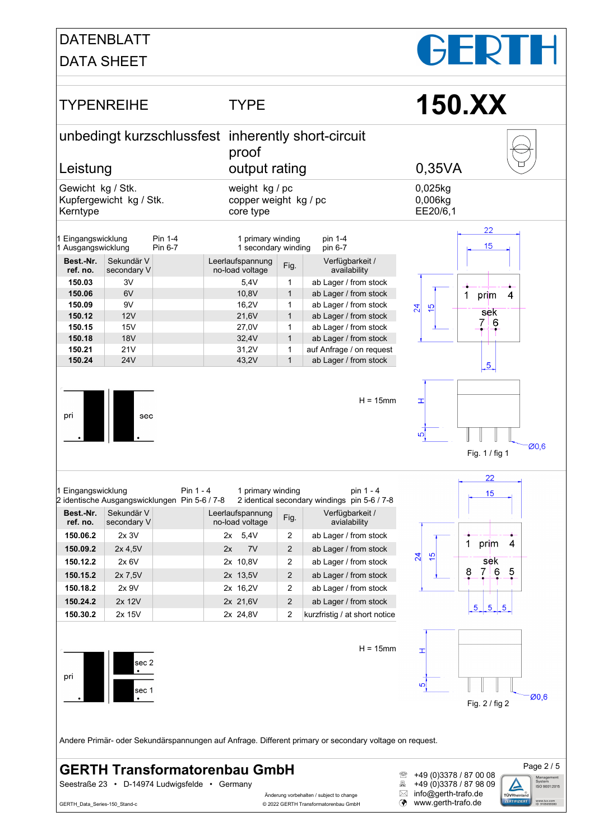## DATENBLATT

DATA SHEET

# $\blacksquare$



Seestraße 23 • D-14974 Ludwigsfelde • Germany<br>Anderung vorbehalten / subject to change <u>and Firdo@gerth</u>-trafo.de

- Änderung vorbehalten / subject to change  $\boxtimes$ GERTH\_Data\_Series-150\_Stand-c **CERTH Transformatorenbau GmbH (a)** www.gerth-trafo.de
- <sup>2</sup> +49 (0)3378 / 87 00 08<br>- +49 (0)3378 / 87 98 09
	-

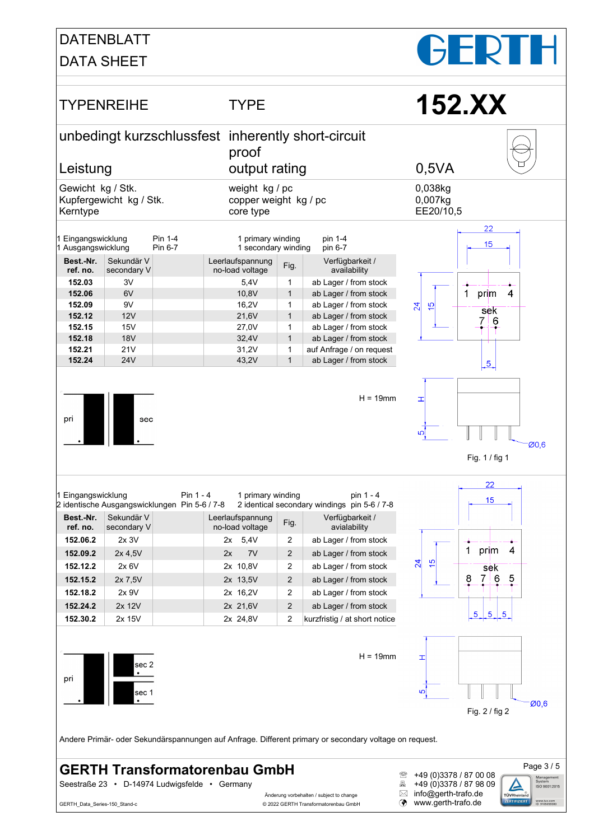## DATENBLATT

DATA SHEET



- Anderung vorbehalten / subject to change  $\boxtimes$  info@gerth-trafo.de GERTH\_Data\_Series-150\_Stand-c **CERTH Transformatorenbau GmbH (a)** www.gerth-trafo.de
- <sup>2</sup> +49 (0)3378 / 87 00 08<br>- +49 (0)3378 / 87 98 09

rüvRhei

www.tuv.com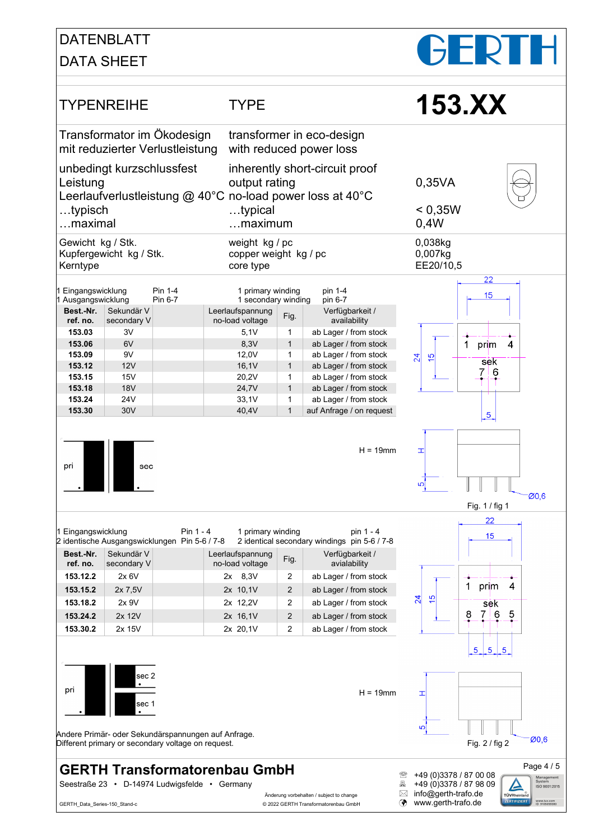### DATENBLATT

#### DATA SHEET



GERTH\_Data\_Series-150\_Stand-c **CERTH Transformatorenbau GmbH (a)** www.gerth-trafo.de